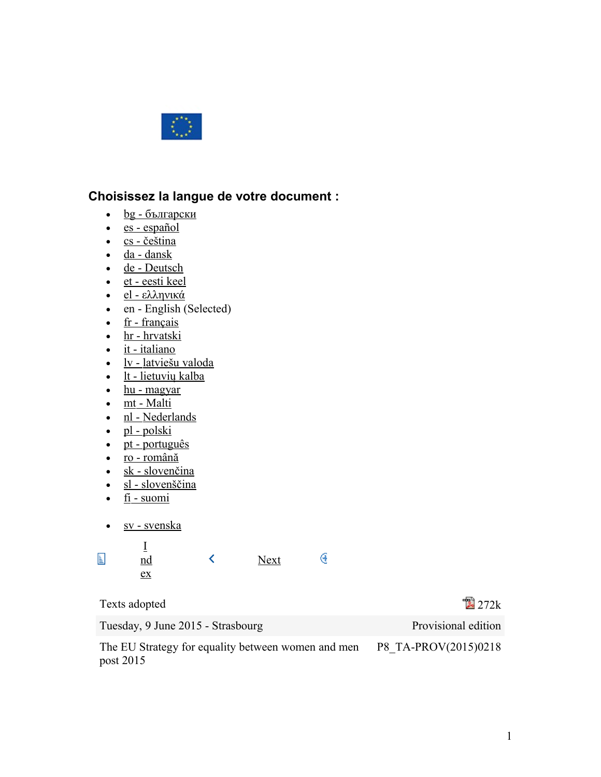

# **Choisissez la langue de votre document :**

- $\cdot$  <u>bg [български](http://www.europarl.europa.eu/sides/getDoc.do?pubRef=-//EP//TEXT+TA+P8-TA-2015-0218+0+DOC+XML+V0//BG)</u>
- es [español](http://www.europarl.europa.eu/sides/getDoc.do?pubRef=-//EP//TEXT+TA+P8-TA-2015-0218+0+DOC+XML+V0//ES)
- $\text{cs}$  [čeština](http://www.europarl.europa.eu/sides/getDoc.do?pubRef=-//EP//TEXT+TA+P8-TA-2015-0218+0+DOC+XML+V0//CS)
- $\cdot$  da [dansk](http://www.europarl.europa.eu/sides/getDoc.do?pubRef=-//EP//TEXT+TA+P8-TA-2015-0218+0+DOC+XML+V0//DA)
- de [Deutsch](http://www.europarl.europa.eu/sides/getDoc.do?pubRef=-//EP//TEXT+TA+P8-TA-2015-0218+0+DOC+XML+V0//DE)
- et [eesti keel](http://www.europarl.europa.eu/sides/getDoc.do?pubRef=-//EP//TEXT+TA+P8-TA-2015-0218+0+DOC+XML+V0//ET)
- el [ελληνικά](http://www.europarl.europa.eu/sides/getDoc.do?pubRef=-//EP//TEXT+TA+P8-TA-2015-0218+0+DOC+XML+V0//EL)
- en English (Selected)
- $\cdot$  fr [français](http://www.europarl.europa.eu/sides/getDoc.do?pubRef=-//EP//TEXT+TA+P8-TA-2015-0218+0+DOC+XML+V0//FR)
- hr [hrvatski](http://www.europarl.europa.eu/sides/getDoc.do?pubRef=-//EP//TEXT+TA+P8-TA-2015-0218+0+DOC+XML+V0//HR)
- $\cdot$  it [italiano](http://www.europarl.europa.eu/sides/getDoc.do?pubRef=-//EP//TEXT+TA+P8-TA-2015-0218+0+DOC+XML+V0//IT)
- lv [latviešu valoda](http://www.europarl.europa.eu/sides/getDoc.do?pubRef=-//EP//TEXT+TA+P8-TA-2015-0218+0+DOC+XML+V0//LV)
- $\cdot$  lt [lietuvių kalba](http://www.europarl.europa.eu/sides/getDoc.do?pubRef=-//EP//TEXT+TA+P8-TA-2015-0218+0+DOC+XML+V0//LT)
- $\cdot$  hu [magyar](http://www.europarl.europa.eu/sides/getDoc.do?pubRef=-//EP//TEXT+TA+P8-TA-2015-0218+0+DOC+XML+V0//HU)
- $\cdot$  mt [Malti](http://www.europarl.europa.eu/sides/getDoc.do?pubRef=-//EP//TEXT+TA+P8-TA-2015-0218+0+DOC+XML+V0//MT)
- nl [Nederlands](http://www.europarl.europa.eu/sides/getDoc.do?pubRef=-//EP//TEXT+TA+P8-TA-2015-0218+0+DOC+XML+V0//NL)
- $\bullet$  pl [polski](http://www.europarl.europa.eu/sides/getDoc.do?pubRef=-//EP//TEXT+TA+P8-TA-2015-0218+0+DOC+XML+V0//PL)
- $\bullet$  pt [português](http://www.europarl.europa.eu/sides/getDoc.do?pubRef=-//EP//TEXT+TA+P8-TA-2015-0218+0+DOC+XML+V0//PT)
- ro [română](http://www.europarl.europa.eu/sides/getDoc.do?pubRef=-//EP//TEXT+TA+P8-TA-2015-0218+0+DOC+XML+V0//RO)
- $\cdot$  sk [slovenčina](http://www.europarl.europa.eu/sides/getDoc.do?pubRef=-//EP//TEXT+TA+P8-TA-2015-0218+0+DOC+XML+V0//SK)
- $\cdot$  sl [slovenščina](http://www.europarl.europa.eu/sides/getDoc.do?pubRef=-//EP//TEXT+TA+P8-TA-2015-0218+0+DOC+XML+V0//SL)
- $\cdot$  fi [suomi](http://www.europarl.europa.eu/sides/getDoc.do?pubRef=-//EP//TEXT+TA+P8-TA-2015-0218+0+DOC+XML+V0//FI)
- sv [svenska](http://www.europarl.europa.eu/sides/getDoc.do?pubRef=-//EP//TEXT+TA+P8-TA-2015-0218+0+DOC+XML+V0//SV)

| Ë | $\underline{\text{nd}}$<br>ex |  | <b>Next</b> |  |
|---|-------------------------------|--|-------------|--|
|---|-------------------------------|--|-------------|--|

| Texts adopted                                                   | $\mathbb{Z}$ 272 $\mathrm{k}$ |
|-----------------------------------------------------------------|-------------------------------|
| Tuesday, 9 June 2015 - Strasbourg                               | Provisional edition           |
| The EU Strategy for equality between women and men<br>post 2015 | P8 TA-PROV(2015)0218          |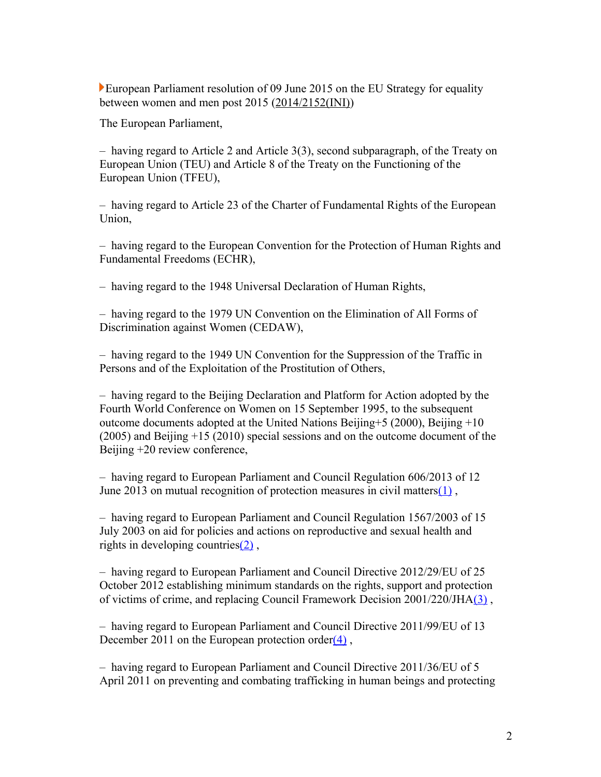European Parliament resolution of 09 June 2015 on the EU Strategy for equality between women and men post 2015 [\(2014/2152\(INI\)\)](http://www.europarl.europa.eu/oeil/popups/ficheprocedure.do?lang=en&reference=2014/2152(INI))

The European Parliament,

– having regard to Article 2 and Article 3(3), second subparagraph, of the Treaty on European Union (TEU) and Article 8 of the Treaty on the Functioning of the European Union (TFEU),

– having regard to Article 23 of the Charter of Fundamental Rights of the European Union,

– having regard to the European Convention for the Protection of Human Rights and Fundamental Freedoms (ECHR),

– having regard to the 1948 Universal Declaration of Human Rights,

– having regard to the 1979 UN Convention on the Elimination of All Forms of Discrimination against Women (CEDAW),

– having regard to the 1949 UN Convention for the Suppression of the Traffic in Persons and of the Exploitation of the Prostitution of Others,

– having regard to the Beijing Declaration and Platform for Action adopted by the Fourth World Conference on Women on 15 September 1995, to the subsequent outcome documents adopted at the United Nations Beijing+5 (2000), Beijing +10 (2005) and Beijing +15 (2010) special sessions and on the outcome document of the Beijing +20 review conference,

– having regard to European Parliament and Council Regulation 606/2013 of 12 June 2013 on mutual recognition of protection measures in civil matters $(1)$ ,

– having regard to European Parliament and Council Regulation 1567/2003 of 15 July 2003 on aid for policies and actions on reproductive and sexual health and rights in developing countries $(2)$ ,

– having regard to European Parliament and Council Directive 2012/29/EU of 25 October 2012 establishing minimum standards on the rights, support and protection of victims of crime, and replacing Council Framework Decision 2001/220/JH[A\(3\)](http://www.europarl.europa.eu/sides/getDoc.do?pubRef=-//EP//TEXT+TA+P8-TA-2015-0218+0+DOC+XML+V0//EN#def_1_3) ,

– having regard to European Parliament and Council Directive 2011/99/EU of 13 December 2011 on the European protection order $(4)$ ,

– having regard to European Parliament and Council Directive 2011/36/EU of 5 April 2011 on preventing and combating trafficking in human beings and protecting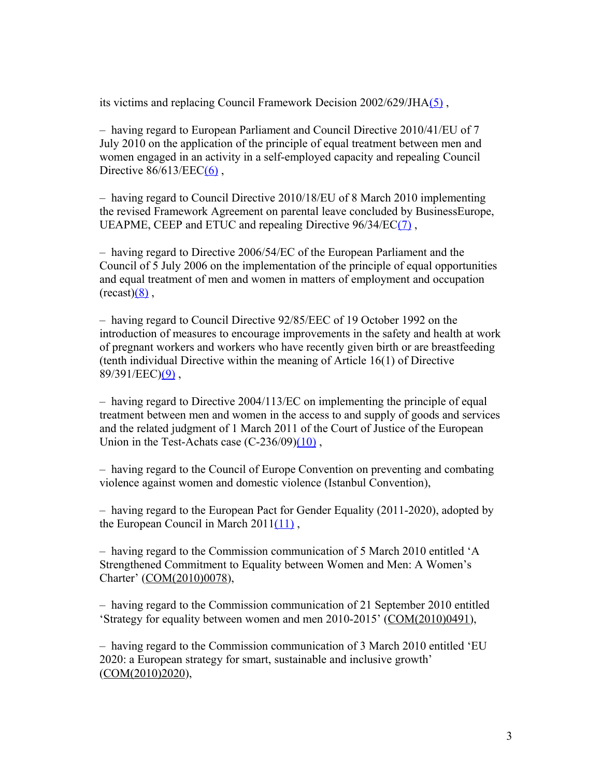its victims and replacing Council Framework Decision 2002/629/JH[A\(5\)](http://www.europarl.europa.eu/sides/getDoc.do?pubRef=-//EP//TEXT+TA+P8-TA-2015-0218+0+DOC+XML+V0//EN#def_1_5) ,

– having regard to European Parliament and Council Directive 2010/41/EU of 7 July 2010 on the application of the principle of equal treatment between men and women engaged in an activity in a self-employed capacity and repealing Council Directive  $86/613/EEC(6)$ ,

– having regard to Council Directive 2010/18/EU of 8 March 2010 implementing the revised Framework Agreement on parental leave concluded by BusinessEurope, UEAPME, CEEP and ETUC and repealing Directive 96/34/E[C\(7\)](http://www.europarl.europa.eu/sides/getDoc.do?pubRef=-//EP//TEXT+TA+P8-TA-2015-0218+0+DOC+XML+V0//EN#def_1_7) ,

– having regard to Directive 2006/54/EC of the European Parliament and the Council of 5 July 2006 on the implementation of the principle of equal opportunities and equal treatment of men and women in matters of employment and occupation  $(recast)(8)$ .

– having regard to Council Directive 92/85/EEC of 19 October 1992 on the introduction of measures to encourage improvements in the safety and health at work of pregnant workers and workers who have recently given birth or are breastfeeding (tenth individual Directive within the meaning of Article 16(1) of Directive  $89/391/EEC(9)$ ,

– having regard to Directive 2004/113/EC on implementing the principle of equal treatment between men and women in the access to and supply of goods and services and the related judgment of 1 March 2011 of the Court of Justice of the European Union in the Test-Achats case  $(C-236/09)(10)$ ,

– having regard to the Council of Europe Convention on preventing and combating violence against women and domestic violence (Istanbul Convention),

– having regard to the European Pact for Gender Equality (2011-2020), adopted by the European Council in March 201[1\(11\)](http://www.europarl.europa.eu/sides/getDoc.do?pubRef=-//EP//TEXT+TA+P8-TA-2015-0218+0+DOC+XML+V0//EN#def_1_11) ,

– having regard to the Commission communication of 5 March 2010 entitled 'A Strengthened Commitment to Equality between Women and Men: A Women's Charter' [\(COM\(2010\)0078\)](http://ec.europa.eu/prelex/liste_resultats.cfm?CL=en&ReqId=0&DocType=COM&DocYear=2010&DocNum=0078),

– having regard to the Commission communication of 21 September 2010 entitled 'Strategy for equality between women and men 2010-2015' [\(COM\(2010\)0491\)](http://ec.europa.eu/prelex/liste_resultats.cfm?CL=en&ReqId=0&DocType=COM&DocYear=2010&DocNum=0491),

– having regard to the Commission communication of 3 March 2010 entitled 'EU 2020: a European strategy for smart, sustainable and inclusive growth' [\(COM\(2010\)2020\)](http://ec.europa.eu/prelex/liste_resultats.cfm?CL=en&ReqId=0&DocType=COM&DocYear=2010&DocNum=2020),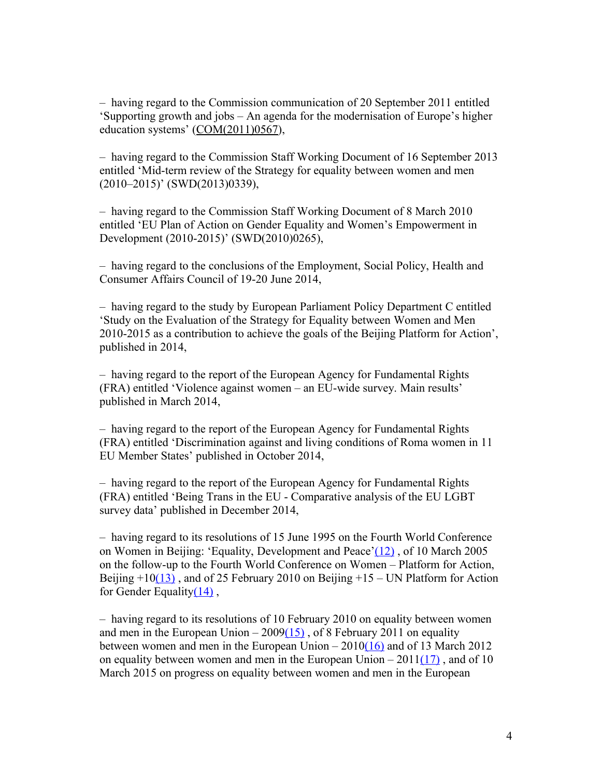– having regard to the Commission communication of 20 September 2011 entitled 'Supporting growth and jobs – An agenda for the modernisation of Europe's higher education systems' [\(COM\(2011\)0567\)](http://ec.europa.eu/prelex/liste_resultats.cfm?CL=en&ReqId=0&DocType=COM&DocYear=2011&DocNum=0567),

– having regard to the Commission Staff Working Document of 16 September 2013 entitled 'Mid-term review of the Strategy for equality between women and men (2010–2015)' (SWD(2013)0339),

– having regard to the Commission Staff Working Document of 8 March 2010 entitled 'EU Plan of Action on Gender Equality and Women's Empowerment in Development (2010-2015)' (SWD(2010)0265),

– having regard to the conclusions of the Employment, Social Policy, Health and Consumer Affairs Council of 19-20 June 2014,

– having regard to the study by European Parliament Policy Department C entitled 'Study on the Evaluation of the Strategy for Equality between Women and Men 2010-2015 as a contribution to achieve the goals of the Beijing Platform for Action', published in 2014,

– having regard to the report of the European Agency for Fundamental Rights (FRA) entitled 'Violence against women – an EU-wide survey. Main results' published in March 2014,

– having regard to the report of the European Agency for Fundamental Rights (FRA) entitled 'Discrimination against and living conditions of Roma women in 11 EU Member States' published in October 2014,

– having regard to the report of the European Agency for Fundamental Rights (FRA) entitled 'Being Trans in the EU - Comparative analysis of the EU LGBT survey data' published in December 2014,

– having regard to its resolutions of 15 June 1995 on the Fourth World Conference on Women in Beijing: 'Equality, Development and Peace['\(12\)](http://www.europarl.europa.eu/sides/getDoc.do?pubRef=-//EP//TEXT+TA+P8-TA-2015-0218+0+DOC+XML+V0//EN#def_1_12) , of 10 March 2005 on the follow-up to the Fourth World Conference on Women – Platform for Action, Beijing  $+10(13)$ , and of 25 February 2010 on Beijing  $+15$  – UN Platform for Action for Gender Equality $(14)$ ,

– having regard to its resolutions of 10 February 2010 on equality between women and men in the European Union  $-2009(15)$ , of 8 February 2011 on equality between women and men in the European Union  $-2010(16)$  and of 13 March 2012 on equality between women and men in the European Union –  $2011(17)$ , and of 10 March 2015 on progress on equality between women and men in the European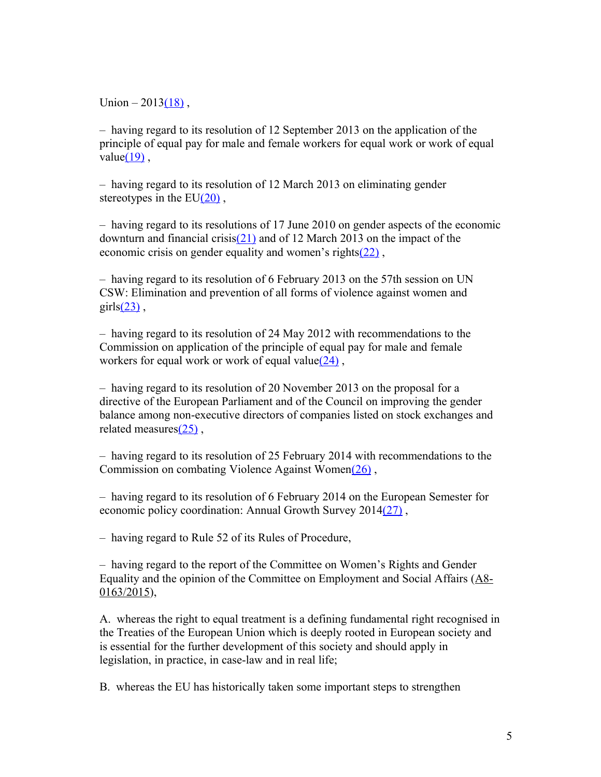Union  $-2013(18)$ ,

– having regard to its resolution of 12 September 2013 on the application of the principle of equal pay for male and female workers for equal work or work of equal value $(19)$ ,

– having regard to its resolution of 12 March 2013 on eliminating gender stereotypes in the  $EU(20)$ ,

– having regard to its resolutions of 17 June 2010 on gender aspects of the economic downturn and financial crisi[s\(21\)](http://www.europarl.europa.eu/sides/getDoc.do?pubRef=-//EP//TEXT+TA+P8-TA-2015-0218+0+DOC+XML+V0//EN#def_1_21) and of 12 March 2013 on the impact of the economic crisis on gender equality and women's right[s\(22\)](http://www.europarl.europa.eu/sides/getDoc.do?pubRef=-//EP//TEXT+TA+P8-TA-2015-0218+0+DOC+XML+V0//EN#def_1_22) ,

– having regard to its resolution of 6 February 2013 on the 57th session on UN CSW: Elimination and prevention of all forms of violence against women and  $grls(23)$ ,

– having regard to its resolution of 24 May 2012 with recommendations to the Commission on application of the principle of equal pay for male and female workers for equal work or work of equal value $(24)$ ,

– having regard to its resolution of 20 November 2013 on the proposal for a directive of the European Parliament and of the Council on improving the gender balance among non-executive directors of companies listed on stock exchanges and related measure[s\(25\)](http://www.europarl.europa.eu/sides/getDoc.do?pubRef=-//EP//TEXT+TA+P8-TA-2015-0218+0+DOC+XML+V0//EN#def_1_25) ,

– having regard to its resolution of 25 February 2014 with recommendations to the Commission on combating Violence Against Wome[n\(26\)](http://www.europarl.europa.eu/sides/getDoc.do?pubRef=-//EP//TEXT+TA+P8-TA-2015-0218+0+DOC+XML+V0//EN#def_1_26) ,

– having regard to its resolution of 6 February 2014 on the European Semester for economic policy coordination: Annual Growth Survey 201[4\(27\)](http://www.europarl.europa.eu/sides/getDoc.do?pubRef=-//EP//TEXT+TA+P8-TA-2015-0218+0+DOC+XML+V0//EN#def_1_27) ,

– having regard to Rule 52 of its Rules of Procedure,

– having regard to the report of the Committee on Women's Rights and Gender Equality and the opinion of the Committee on Employment and Social Affairs [\(A8-](http://www.europarl.europa.eu/sides/getDoc.do?type=REPORT&reference=A8-2015-0163&language=EN) [0163/2015\)](http://www.europarl.europa.eu/sides/getDoc.do?type=REPORT&reference=A8-2015-0163&language=EN),

A. whereas the right to equal treatment is a defining fundamental right recognised in the Treaties of the European Union which is deeply rooted in European society and is essential for the further development of this society and should apply in legislation, in practice, in case-law and in real life;

B. whereas the EU has historically taken some important steps to strengthen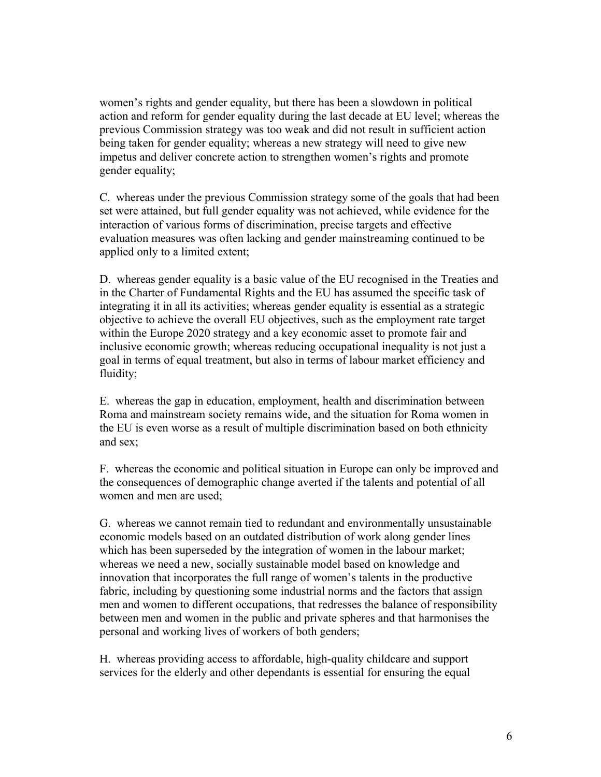women's rights and gender equality, but there has been a slowdown in political action and reform for gender equality during the last decade at EU level; whereas the previous Commission strategy was too weak and did not result in sufficient action being taken for gender equality; whereas a new strategy will need to give new impetus and deliver concrete action to strengthen women's rights and promote gender equality;

C. whereas under the previous Commission strategy some of the goals that had been set were attained, but full gender equality was not achieved, while evidence for the interaction of various forms of discrimination, precise targets and effective evaluation measures was often lacking and gender mainstreaming continued to be applied only to a limited extent;

D. whereas gender equality is a basic value of the EU recognised in the Treaties and in the Charter of Fundamental Rights and the EU has assumed the specific task of integrating it in all its activities; whereas gender equality is essential as a strategic objective to achieve the overall EU objectives, such as the employment rate target within the Europe 2020 strategy and a key economic asset to promote fair and inclusive economic growth; whereas reducing occupational inequality is not just a goal in terms of equal treatment, but also in terms of labour market efficiency and fluidity;

E. whereas the gap in education, employment, health and discrimination between Roma and mainstream society remains wide, and the situation for Roma women in the EU is even worse as a result of multiple discrimination based on both ethnicity and sex;

F. whereas the economic and political situation in Europe can only be improved and the consequences of demographic change averted if the talents and potential of all women and men are used;

G. whereas we cannot remain tied to redundant and environmentally unsustainable economic models based on an outdated distribution of work along gender lines which has been superseded by the integration of women in the labour market; whereas we need a new, socially sustainable model based on knowledge and innovation that incorporates the full range of women's talents in the productive fabric, including by questioning some industrial norms and the factors that assign men and women to different occupations, that redresses the balance of responsibility between men and women in the public and private spheres and that harmonises the personal and working lives of workers of both genders;

H. whereas providing access to affordable, high-quality childcare and support services for the elderly and other dependants is essential for ensuring the equal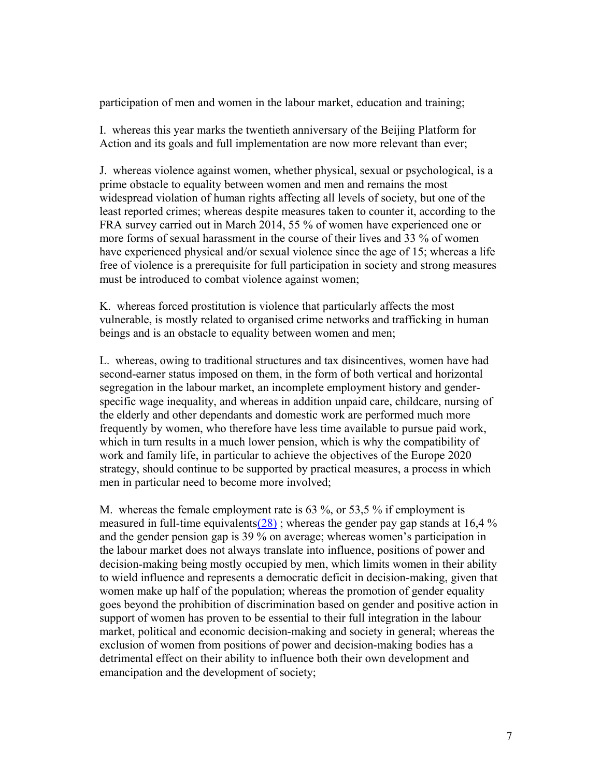participation of men and women in the labour market, education and training;

I. whereas this year marks the twentieth anniversary of the Beijing Platform for Action and its goals and full implementation are now more relevant than ever;

J. whereas violence against women, whether physical, sexual or psychological, is a prime obstacle to equality between women and men and remains the most widespread violation of human rights affecting all levels of society, but one of the least reported crimes; whereas despite measures taken to counter it, according to the FRA survey carried out in March 2014, 55 % of women have experienced one or more forms of sexual harassment in the course of their lives and 33 % of women have experienced physical and/or sexual violence since the age of 15; whereas a life free of violence is a prerequisite for full participation in society and strong measures must be introduced to combat violence against women;

K. whereas forced prostitution is violence that particularly affects the most vulnerable, is mostly related to organised crime networks and trafficking in human beings and is an obstacle to equality between women and men;

L. whereas, owing to traditional structures and tax disincentives, women have had second-earner status imposed on them, in the form of both vertical and horizontal segregation in the labour market, an incomplete employment history and genderspecific wage inequality, and whereas in addition unpaid care, childcare, nursing of the elderly and other dependants and domestic work are performed much more frequently by women, who therefore have less time available to pursue paid work, which in turn results in a much lower pension, which is why the compatibility of work and family life, in particular to achieve the objectives of the Europe 2020 strategy, should continue to be supported by practical measures, a process in which men in particular need to become more involved;

M. whereas the female employment rate is 63 %, or 53,5 % if employment is measured in full-time equivalents( $\frac{28}{28}$ ); whereas the gender pay gap stands at 16,4 % and the gender pension gap is 39 % on average; whereas women's participation in the labour market does not always translate into influence, positions of power and decision-making being mostly occupied by men, which limits women in their ability to wield influence and represents a democratic deficit in decision-making, given that women make up half of the population; whereas the promotion of gender equality goes beyond the prohibition of discrimination based on gender and positive action in support of women has proven to be essential to their full integration in the labour market, political and economic decision-making and society in general; whereas the exclusion of women from positions of power and decision-making bodies has a detrimental effect on their ability to influence both their own development and emancipation and the development of society;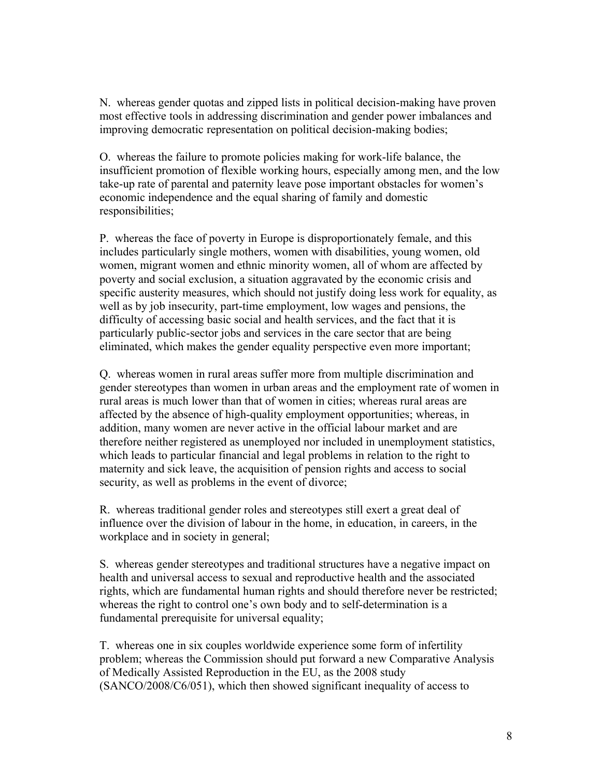N. whereas gender quotas and zipped lists in political decision-making have proven most effective tools in addressing discrimination and gender power imbalances and improving democratic representation on political decision-making bodies;

O. whereas the failure to promote policies making for work-life balance, the insufficient promotion of flexible working hours, especially among men, and the low take-up rate of parental and paternity leave pose important obstacles for women's economic independence and the equal sharing of family and domestic responsibilities;

P. whereas the face of poverty in Europe is disproportionately female, and this includes particularly single mothers, women with disabilities, young women, old women, migrant women and ethnic minority women, all of whom are affected by poverty and social exclusion, a situation aggravated by the economic crisis and specific austerity measures, which should not justify doing less work for equality, as well as by job insecurity, part-time employment, low wages and pensions, the difficulty of accessing basic social and health services, and the fact that it is particularly public-sector jobs and services in the care sector that are being eliminated, which makes the gender equality perspective even more important;

Q. whereas women in rural areas suffer more from multiple discrimination and gender stereotypes than women in urban areas and the employment rate of women in rural areas is much lower than that of women in cities; whereas rural areas are affected by the absence of high-quality employment opportunities; whereas, in addition, many women are never active in the official labour market and are therefore neither registered as unemployed nor included in unemployment statistics, which leads to particular financial and legal problems in relation to the right to maternity and sick leave, the acquisition of pension rights and access to social security, as well as problems in the event of divorce;

R. whereas traditional gender roles and stereotypes still exert a great deal of influence over the division of labour in the home, in education, in careers, in the workplace and in society in general;

S. whereas gender stereotypes and traditional structures have a negative impact on health and universal access to sexual and reproductive health and the associated rights, which are fundamental human rights and should therefore never be restricted; whereas the right to control one's own body and to self-determination is a fundamental prerequisite for universal equality;

T. whereas one in six couples worldwide experience some form of infertility problem; whereas the Commission should put forward a new Comparative Analysis of Medically Assisted Reproduction in the EU, as the 2008 study (SANCO/2008/C6/051), which then showed significant inequality of access to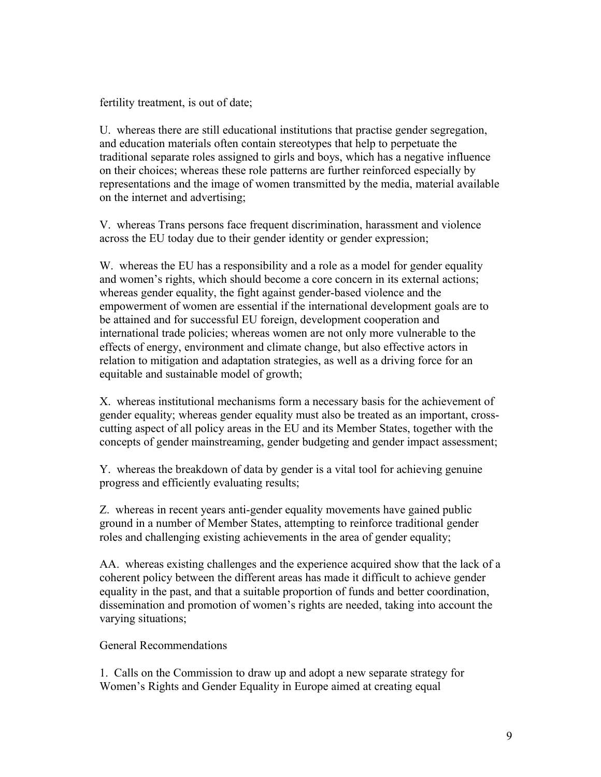fertility treatment, is out of date;

U. whereas there are still educational institutions that practise gender segregation, and education materials often contain stereotypes that help to perpetuate the traditional separate roles assigned to girls and boys, which has a negative influence on their choices; whereas these role patterns are further reinforced especially by representations and the image of women transmitted by the media, material available on the internet and advertising;

V. whereas Trans persons face frequent discrimination, harassment and violence across the EU today due to their gender identity or gender expression;

W. whereas the EU has a responsibility and a role as a model for gender equality and women's rights, which should become a core concern in its external actions; whereas gender equality, the fight against gender-based violence and the empowerment of women are essential if the international development goals are to be attained and for successful EU foreign, development cooperation and international trade policies; whereas women are not only more vulnerable to the effects of energy, environment and climate change, but also effective actors in relation to mitigation and adaptation strategies, as well as a driving force for an equitable and sustainable model of growth;

X. whereas institutional mechanisms form a necessary basis for the achievement of gender equality; whereas gender equality must also be treated as an important, crosscutting aspect of all policy areas in the EU and its Member States, together with the concepts of gender mainstreaming, gender budgeting and gender impact assessment;

Y. whereas the breakdown of data by gender is a vital tool for achieving genuine progress and efficiently evaluating results;

Z. whereas in recent years anti-gender equality movements have gained public ground in a number of Member States, attempting to reinforce traditional gender roles and challenging existing achievements in the area of gender equality;

AA. whereas existing challenges and the experience acquired show that the lack of a coherent policy between the different areas has made it difficult to achieve gender equality in the past, and that a suitable proportion of funds and better coordination, dissemination and promotion of women's rights are needed, taking into account the varying situations;

General Recommendations

1. Calls on the Commission to draw up and adopt a new separate strategy for Women's Rights and Gender Equality in Europe aimed at creating equal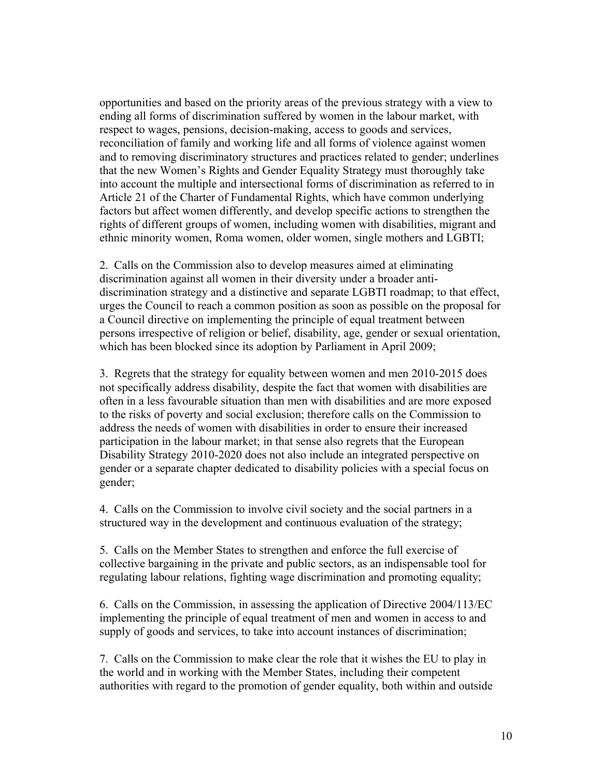opportunities and based on the priority areas of the previous strategy with a view to ending all forms of discrimination suffered by women in the labour market, with respect to wages, pensions, decision-making, access to goods and services, reconciliation of family and working life and all forms of violence against women and to removing discriminatory structures and practices related to gender; underlines that the new Women's Rights and Gender Equality Strategy must thoroughly take into account the multiple and intersectional forms of discrimination as referred to in Article 21 of the Charter of Fundamental Rights, which have common underlying factors but affect women differently, and develop specific actions to strengthen the rights of different groups of women, including women with disabilities, migrant and ethnic minority women, Roma women, older women, single mothers and LGBTI;

2. Calls on the Commission also to develop measures aimed at eliminating discrimination against all women in their diversity under a broader antidiscrimination strategy and a distinctive and separate LGBTI roadmap; to that effect, urges the Council to reach a common position as soon as possible on the proposal for a Council directive on implementing the principle of equal treatment between persons irrespective of religion or belief, disability, age, gender or sexual orientation, which has been blocked since its adoption by Parliament in April 2009;

3. Regrets that the strategy for equality between women and men 2010-2015 does not specifically address disability, despite the fact that women with disabilities are often in a less favourable situation than men with disabilities and are more exposed to the risks of poverty and social exclusion; therefore calls on the Commission to address the needs of women with disabilities in order to ensure their increased participation in the labour market; in that sense also regrets that the European Disability Strategy 2010-2020 does not also include an integrated perspective on gender or a separate chapter dedicated to disability policies with a special focus on gender;

4. Calls on the Commission to involve civil society and the social partners in a structured way in the development and continuous evaluation of the strategy;

5. Calls on the Member States to strengthen and enforce the full exercise of collective bargaining in the private and public sectors, as an indispensable tool for regulating labour relations, fighting wage discrimination and promoting equality;

6. Calls on the Commission, in assessing the application of Directive 2004/113/EC implementing the principle of equal treatment of men and women in access to and supply of goods and services, to take into account instances of discrimination;

7. Calls on the Commission to make clear the role that it wishes the EU to play in the world and in working with the Member States, including their competent authorities with regard to the promotion of gender equality, both within and outside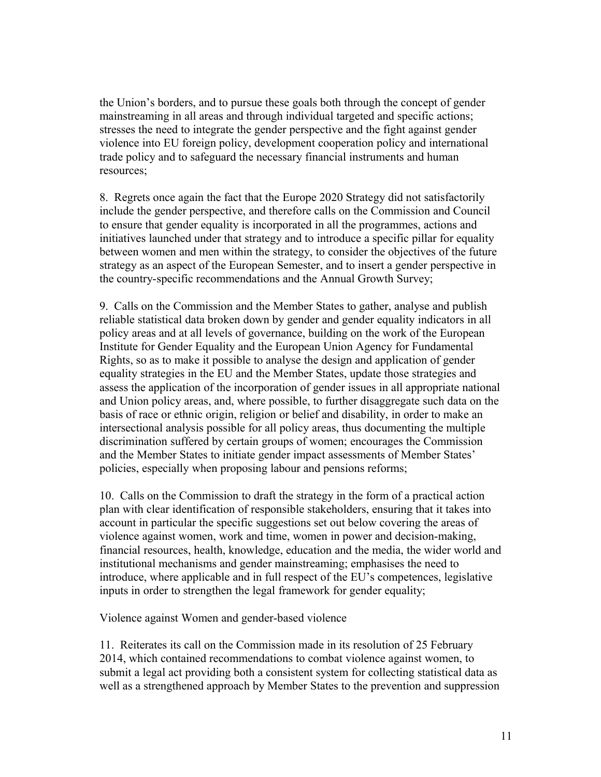the Union's borders, and to pursue these goals both through the concept of gender mainstreaming in all areas and through individual targeted and specific actions; stresses the need to integrate the gender perspective and the fight against gender violence into EU foreign policy, development cooperation policy and international trade policy and to safeguard the necessary financial instruments and human resources;

8. Regrets once again the fact that the Europe 2020 Strategy did not satisfactorily include the gender perspective, and therefore calls on the Commission and Council to ensure that gender equality is incorporated in all the programmes, actions and initiatives launched under that strategy and to introduce a specific pillar for equality between women and men within the strategy, to consider the objectives of the future strategy as an aspect of the European Semester, and to insert a gender perspective in the country-specific recommendations and the Annual Growth Survey;

9. Calls on the Commission and the Member States to gather, analyse and publish reliable statistical data broken down by gender and gender equality indicators in all policy areas and at all levels of governance, building on the work of the European Institute for Gender Equality and the European Union Agency for Fundamental Rights, so as to make it possible to analyse the design and application of gender equality strategies in the EU and the Member States, update those strategies and assess the application of the incorporation of gender issues in all appropriate national and Union policy areas, and, where possible, to further disaggregate such data on the basis of race or ethnic origin, religion or belief and disability, in order to make an intersectional analysis possible for all policy areas, thus documenting the multiple discrimination suffered by certain groups of women; encourages the Commission and the Member States to initiate gender impact assessments of Member States' policies, especially when proposing labour and pensions reforms;

10. Calls on the Commission to draft the strategy in the form of a practical action plan with clear identification of responsible stakeholders, ensuring that it takes into account in particular the specific suggestions set out below covering the areas of violence against women, work and time, women in power and decision-making, financial resources, health, knowledge, education and the media, the wider world and institutional mechanisms and gender mainstreaming; emphasises the need to introduce, where applicable and in full respect of the EU's competences, legislative inputs in order to strengthen the legal framework for gender equality;

Violence against Women and gender-based violence

11. Reiterates its call on the Commission made in its resolution of 25 February 2014, which contained recommendations to combat violence against women, to submit a legal act providing both a consistent system for collecting statistical data as well as a strengthened approach by Member States to the prevention and suppression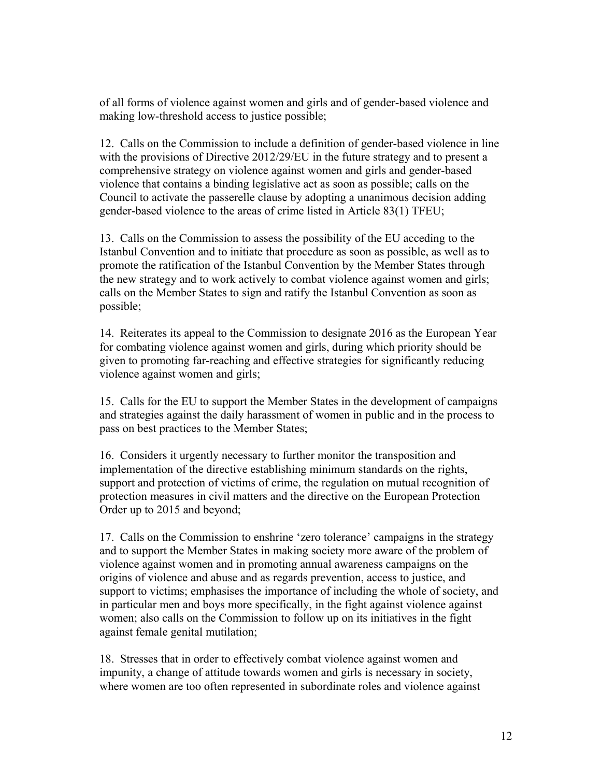of all forms of violence against women and girls and of gender-based violence and making low-threshold access to justice possible;

12. Calls on the Commission to include a definition of gender-based violence in line with the provisions of Directive 2012/29/EU in the future strategy and to present a comprehensive strategy on violence against women and girls and gender-based violence that contains a binding legislative act as soon as possible; calls on the Council to activate the passerelle clause by adopting a unanimous decision adding gender-based violence to the areas of crime listed in Article 83(1) TFEU;

13. Calls on the Commission to assess the possibility of the EU acceding to the Istanbul Convention and to initiate that procedure as soon as possible, as well as to promote the ratification of the Istanbul Convention by the Member States through the new strategy and to work actively to combat violence against women and girls; calls on the Member States to sign and ratify the Istanbul Convention as soon as possible;

14. Reiterates its appeal to the Commission to designate 2016 as the European Year for combating violence against women and girls, during which priority should be given to promoting far-reaching and effective strategies for significantly reducing violence against women and girls;

15. Calls for the EU to support the Member States in the development of campaigns and strategies against the daily harassment of women in public and in the process to pass on best practices to the Member States;

16. Considers it urgently necessary to further monitor the transposition and implementation of the directive establishing minimum standards on the rights, support and protection of victims of crime, the regulation on mutual recognition of protection measures in civil matters and the directive on the European Protection Order up to 2015 and beyond;

17. Calls on the Commission to enshrine 'zero tolerance' campaigns in the strategy and to support the Member States in making society more aware of the problem of violence against women and in promoting annual awareness campaigns on the origins of violence and abuse and as regards prevention, access to justice, and support to victims; emphasises the importance of including the whole of society, and in particular men and boys more specifically, in the fight against violence against women; also calls on the Commission to follow up on its initiatives in the fight against female genital mutilation;

18. Stresses that in order to effectively combat violence against women and impunity, a change of attitude towards women and girls is necessary in society, where women are too often represented in subordinate roles and violence against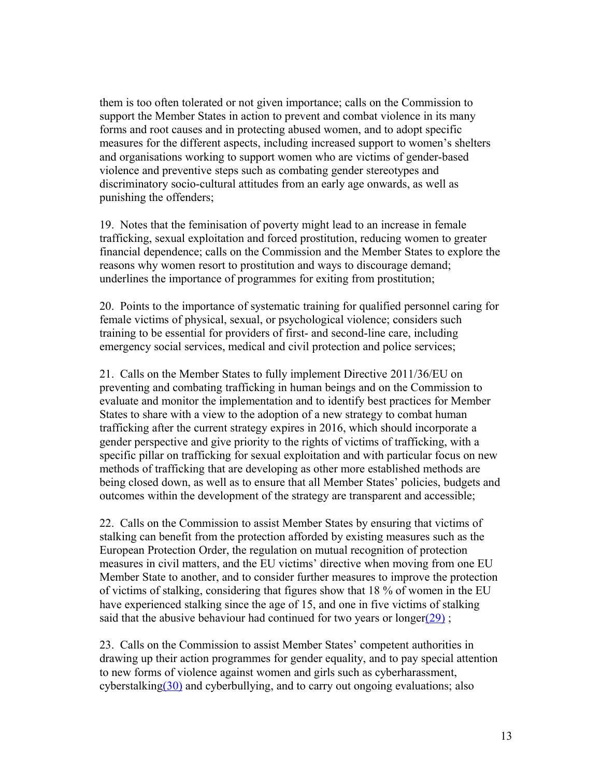them is too often tolerated or not given importance; calls on the Commission to support the Member States in action to prevent and combat violence in its many forms and root causes and in protecting abused women, and to adopt specific measures for the different aspects, including increased support to women's shelters and organisations working to support women who are victims of gender-based violence and preventive steps such as combating gender stereotypes and discriminatory socio-cultural attitudes from an early age onwards, as well as punishing the offenders;

19. Notes that the feminisation of poverty might lead to an increase in female trafficking, sexual exploitation and forced prostitution, reducing women to greater financial dependence; calls on the Commission and the Member States to explore the reasons why women resort to prostitution and ways to discourage demand; underlines the importance of programmes for exiting from prostitution;

20. Points to the importance of systematic training for qualified personnel caring for female victims of physical, sexual, or psychological violence; considers such training to be essential for providers of first- and second-line care, including emergency social services, medical and civil protection and police services;

21. Calls on the Member States to fully implement Directive 2011/36/EU on preventing and combating trafficking in human beings and on the Commission to evaluate and monitor the implementation and to identify best practices for Member States to share with a view to the adoption of a new strategy to combat human trafficking after the current strategy expires in 2016, which should incorporate a gender perspective and give priority to the rights of victims of trafficking, with a specific pillar on trafficking for sexual exploitation and with particular focus on new methods of trafficking that are developing as other more established methods are being closed down, as well as to ensure that all Member States' policies, budgets and outcomes within the development of the strategy are transparent and accessible;

22. Calls on the Commission to assist Member States by ensuring that victims of stalking can benefit from the protection afforded by existing measures such as the European Protection Order, the regulation on mutual recognition of protection measures in civil matters, and the EU victims' directive when moving from one EU Member State to another, and to consider further measures to improve the protection of victims of stalking, considering that figures show that 18 % of women in the EU have experienced stalking since the age of 15, and one in five victims of stalking said that the abusive behaviour had continued for two years or longer( $29$ );

23. Calls on the Commission to assist Member States' competent authorities in drawing up their action programmes for gender equality, and to pay special attention to new forms of violence against women and girls such as cyberharassment, cyberstalkin[g\(30\)](http://www.europarl.europa.eu/sides/getDoc.do?pubRef=-//EP//TEXT+TA+P8-TA-2015-0218+0+DOC+XML+V0//EN#def_1_30) and cyberbullying, and to carry out ongoing evaluations; also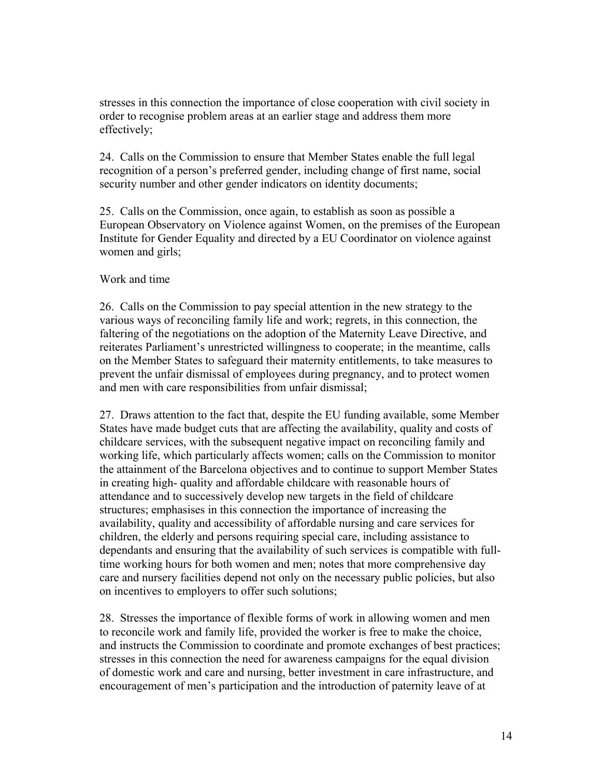stresses in this connection the importance of close cooperation with civil society in order to recognise problem areas at an earlier stage and address them more effectively;

24. Calls on the Commission to ensure that Member States enable the full legal recognition of a person's preferred gender, including change of first name, social security number and other gender indicators on identity documents;

25. Calls on the Commission, once again, to establish as soon as possible a European Observatory on Violence against Women, on the premises of the European Institute for Gender Equality and directed by a EU Coordinator on violence against women and girls;

#### Work and time

26. Calls on the Commission to pay special attention in the new strategy to the various ways of reconciling family life and work; regrets, in this connection, the faltering of the negotiations on the adoption of the Maternity Leave Directive, and reiterates Parliament's unrestricted willingness to cooperate; in the meantime, calls on the Member States to safeguard their maternity entitlements, to take measures to prevent the unfair dismissal of employees during pregnancy, and to protect women and men with care responsibilities from unfair dismissal;

27. Draws attention to the fact that, despite the EU funding available, some Member States have made budget cuts that are affecting the availability, quality and costs of childcare services, with the subsequent negative impact on reconciling family and working life, which particularly affects women; calls on the Commission to monitor the attainment of the Barcelona objectives and to continue to support Member States in creating high- quality and affordable childcare with reasonable hours of attendance and to successively develop new targets in the field of childcare structures; emphasises in this connection the importance of increasing the availability, quality and accessibility of affordable nursing and care services for children, the elderly and persons requiring special care, including assistance to dependants and ensuring that the availability of such services is compatible with fulltime working hours for both women and men; notes that more comprehensive day care and nursery facilities depend not only on the necessary public policies, but also on incentives to employers to offer such solutions;

28. Stresses the importance of flexible forms of work in allowing women and men to reconcile work and family life, provided the worker is free to make the choice, and instructs the Commission to coordinate and promote exchanges of best practices; stresses in this connection the need for awareness campaigns for the equal division of domestic work and care and nursing, better investment in care infrastructure, and encouragement of men's participation and the introduction of paternity leave of at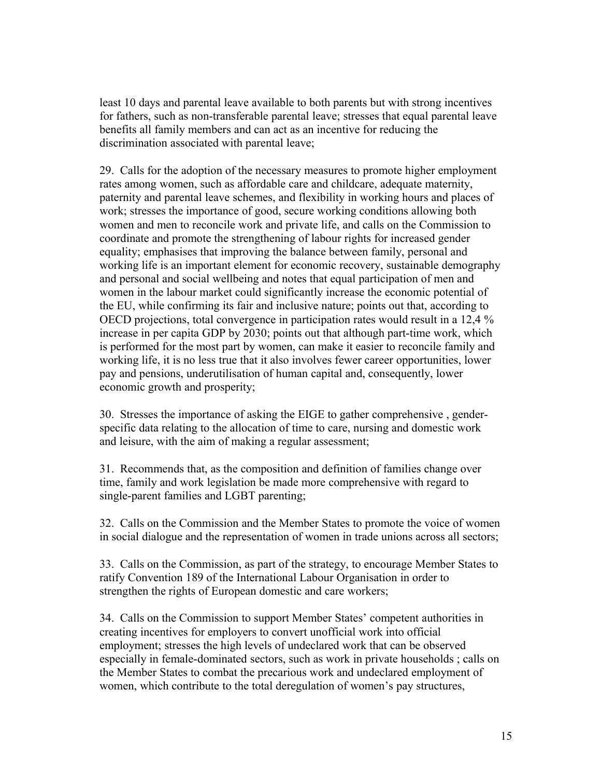least 10 days and parental leave available to both parents but with strong incentives for fathers, such as non-transferable parental leave; stresses that equal parental leave benefits all family members and can act as an incentive for reducing the discrimination associated with parental leave;

29. Calls for the adoption of the necessary measures to promote higher employment rates among women, such as affordable care and childcare, adequate maternity, paternity and parental leave schemes, and flexibility in working hours and places of work; stresses the importance of good, secure working conditions allowing both women and men to reconcile work and private life, and calls on the Commission to coordinate and promote the strengthening of labour rights for increased gender equality; emphasises that improving the balance between family, personal and working life is an important element for economic recovery, sustainable demography and personal and social wellbeing and notes that equal participation of men and women in the labour market could significantly increase the economic potential of the EU, while confirming its fair and inclusive nature; points out that, according to OECD projections, total convergence in participation rates would result in a 12,4 % increase in per capita GDP by 2030; points out that although part-time work, which is performed for the most part by women, can make it easier to reconcile family and working life, it is no less true that it also involves fewer career opportunities, lower pay and pensions, underutilisation of human capital and, consequently, lower economic growth and prosperity;

30. Stresses the importance of asking the EIGE to gather comprehensive , genderspecific data relating to the allocation of time to care, nursing and domestic work and leisure, with the aim of making a regular assessment;

31. Recommends that, as the composition and definition of families change over time, family and work legislation be made more comprehensive with regard to single-parent families and LGBT parenting;

32. Calls on the Commission and the Member States to promote the voice of women in social dialogue and the representation of women in trade unions across all sectors;

33. Calls on the Commission, as part of the strategy, to encourage Member States to ratify Convention 189 of the International Labour Organisation in order to strengthen the rights of European domestic and care workers;

34. Calls on the Commission to support Member States' competent authorities in creating incentives for employers to convert unofficial work into official employment; stresses the high levels of undeclared work that can be observed especially in female-dominated sectors, such as work in private households ; calls on the Member States to combat the precarious work and undeclared employment of women, which contribute to the total deregulation of women's pay structures,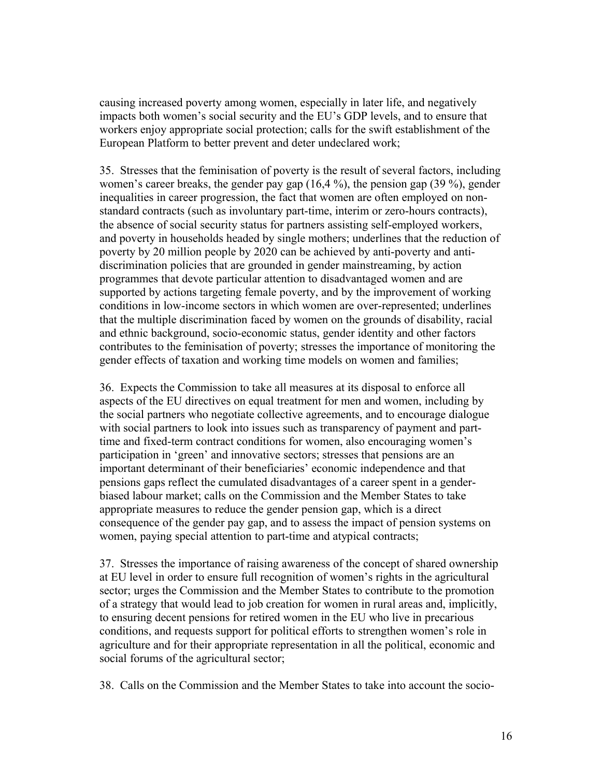causing increased poverty among women, especially in later life, and negatively impacts both women's social security and the EU's GDP levels, and to ensure that workers enjoy appropriate social protection; calls for the swift establishment of the European Platform to better prevent and deter undeclared work;

35. Stresses that the feminisation of poverty is the result of several factors, including women's career breaks, the gender pay gap (16,4 %), the pension gap (39 %), gender inequalities in career progression, the fact that women are often employed on nonstandard contracts (such as involuntary part-time, interim or zero-hours contracts), the absence of social security status for partners assisting self-employed workers, and poverty in households headed by single mothers; underlines that the reduction of poverty by 20 million people by 2020 can be achieved by anti-poverty and antidiscrimination policies that are grounded in gender mainstreaming, by action programmes that devote particular attention to disadvantaged women and are supported by actions targeting female poverty, and by the improvement of working conditions in low-income sectors in which women are over-represented; underlines that the multiple discrimination faced by women on the grounds of disability, racial and ethnic background, socio-economic status, gender identity and other factors contributes to the feminisation of poverty; stresses the importance of monitoring the gender effects of taxation and working time models on women and families;

36. Expects the Commission to take all measures at its disposal to enforce all aspects of the EU directives on equal treatment for men and women, including by the social partners who negotiate collective agreements, and to encourage dialogue with social partners to look into issues such as transparency of payment and parttime and fixed-term contract conditions for women, also encouraging women's participation in 'green' and innovative sectors; stresses that pensions are an important determinant of their beneficiaries' economic independence and that pensions gaps reflect the cumulated disadvantages of a career spent in a genderbiased labour market; calls on the Commission and the Member States to take appropriate measures to reduce the gender pension gap, which is a direct consequence of the gender pay gap, and to assess the impact of pension systems on women, paying special attention to part-time and atypical contracts;

37. Stresses the importance of raising awareness of the concept of shared ownership at EU level in order to ensure full recognition of women's rights in the agricultural sector; urges the Commission and the Member States to contribute to the promotion of a strategy that would lead to job creation for women in rural areas and, implicitly, to ensuring decent pensions for retired women in the EU who live in precarious conditions, and requests support for political efforts to strengthen women's role in agriculture and for their appropriate representation in all the political, economic and social forums of the agricultural sector;

38. Calls on the Commission and the Member States to take into account the socio-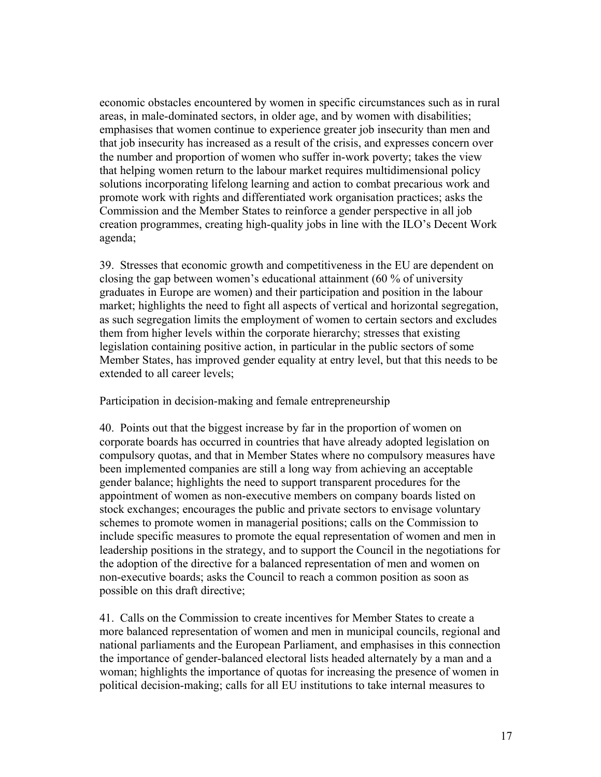economic obstacles encountered by women in specific circumstances such as in rural areas, in male-dominated sectors, in older age, and by women with disabilities; emphasises that women continue to experience greater job insecurity than men and that job insecurity has increased as a result of the crisis, and expresses concern over the number and proportion of women who suffer in-work poverty; takes the view that helping women return to the labour market requires multidimensional policy solutions incorporating lifelong learning and action to combat precarious work and promote work with rights and differentiated work organisation practices; asks the Commission and the Member States to reinforce a gender perspective in all job creation programmes, creating high-quality jobs in line with the ILO's Decent Work agenda;

39. Stresses that economic growth and competitiveness in the EU are dependent on closing the gap between women's educational attainment (60 % of university graduates in Europe are women) and their participation and position in the labour market; highlights the need to fight all aspects of vertical and horizontal segregation, as such segregation limits the employment of women to certain sectors and excludes them from higher levels within the corporate hierarchy; stresses that existing legislation containing positive action, in particular in the public sectors of some Member States, has improved gender equality at entry level, but that this needs to be extended to all career levels;

Participation in decision-making and female entrepreneurship

40. Points out that the biggest increase by far in the proportion of women on corporate boards has occurred in countries that have already adopted legislation on compulsory quotas, and that in Member States where no compulsory measures have been implemented companies are still a long way from achieving an acceptable gender balance; highlights the need to support transparent procedures for the appointment of women as non-executive members on company boards listed on stock exchanges; encourages the public and private sectors to envisage voluntary schemes to promote women in managerial positions; calls on the Commission to include specific measures to promote the equal representation of women and men in leadership positions in the strategy, and to support the Council in the negotiations for the adoption of the directive for a balanced representation of men and women on non-executive boards; asks the Council to reach a common position as soon as possible on this draft directive;

41. Calls on the Commission to create incentives for Member States to create a more balanced representation of women and men in municipal councils, regional and national parliaments and the European Parliament, and emphasises in this connection the importance of gender-balanced electoral lists headed alternately by a man and a woman; highlights the importance of quotas for increasing the presence of women in political decision-making; calls for all EU institutions to take internal measures to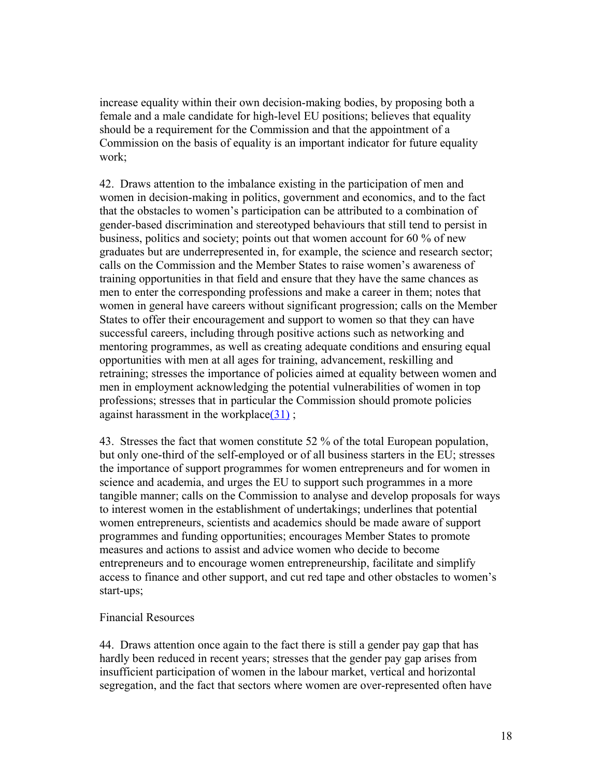increase equality within their own decision-making bodies, by proposing both a female and a male candidate for high-level EU positions; believes that equality should be a requirement for the Commission and that the appointment of a Commission on the basis of equality is an important indicator for future equality work;

42. Draws attention to the imbalance existing in the participation of men and women in decision-making in politics, government and economics, and to the fact that the obstacles to women's participation can be attributed to a combination of gender-based discrimination and stereotyped behaviours that still tend to persist in business, politics and society; points out that women account for 60 % of new graduates but are underrepresented in, for example, the science and research sector; calls on the Commission and the Member States to raise women's awareness of training opportunities in that field and ensure that they have the same chances as men to enter the corresponding professions and make a career in them; notes that women in general have careers without significant progression; calls on the Member States to offer their encouragement and support to women so that they can have successful careers, including through positive actions such as networking and mentoring programmes, as well as creating adequate conditions and ensuring equal opportunities with men at all ages for training, advancement, reskilling and retraining; stresses the importance of policies aimed at equality between women and men in employment acknowledging the potential vulnerabilities of women in top professions; stresses that in particular the Commission should promote policies against harassment in the workplace $(31)$ ;

43. Stresses the fact that women constitute 52 % of the total European population, but only one-third of the self-employed or of all business starters in the EU; stresses the importance of support programmes for women entrepreneurs and for women in science and academia, and urges the EU to support such programmes in a more tangible manner; calls on the Commission to analyse and develop proposals for ways to interest women in the establishment of undertakings; underlines that potential women entrepreneurs, scientists and academics should be made aware of support programmes and funding opportunities; encourages Member States to promote measures and actions to assist and advice women who decide to become entrepreneurs and to encourage women entrepreneurship, facilitate and simplify access to finance and other support, and cut red tape and other obstacles to women's start-ups;

### Financial Resources

44. Draws attention once again to the fact there is still a gender pay gap that has hardly been reduced in recent years; stresses that the gender pay gap arises from insufficient participation of women in the labour market, vertical and horizontal segregation, and the fact that sectors where women are over-represented often have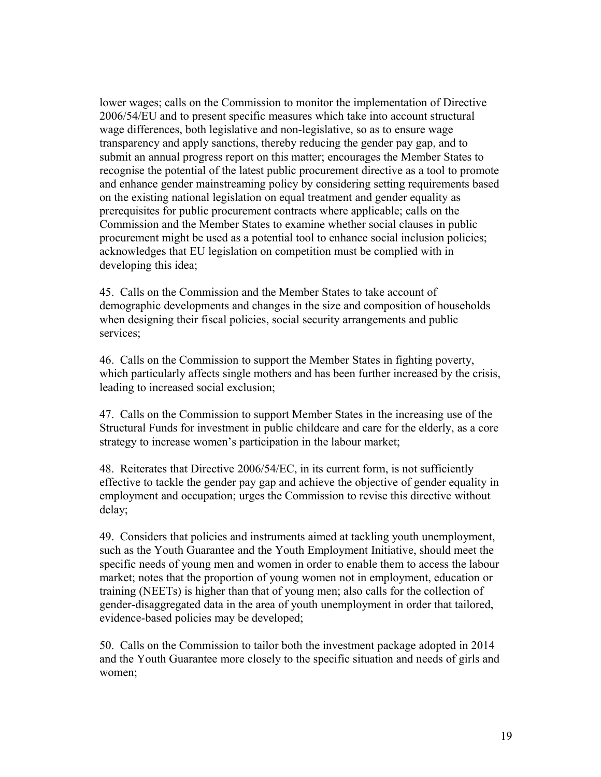lower wages; calls on the Commission to monitor the implementation of Directive 2006/54/EU and to present specific measures which take into account structural wage differences, both legislative and non-legislative, so as to ensure wage transparency and apply sanctions, thereby reducing the gender pay gap, and to submit an annual progress report on this matter; encourages the Member States to recognise the potential of the latest public procurement directive as a tool to promote and enhance gender mainstreaming policy by considering setting requirements based on the existing national legislation on equal treatment and gender equality as prerequisites for public procurement contracts where applicable; calls on the Commission and the Member States to examine whether social clauses in public procurement might be used as a potential tool to enhance social inclusion policies; acknowledges that EU legislation on competition must be complied with in developing this idea;

45. Calls on the Commission and the Member States to take account of demographic developments and changes in the size and composition of households when designing their fiscal policies, social security arrangements and public services;

46. Calls on the Commission to support the Member States in fighting poverty, which particularly affects single mothers and has been further increased by the crisis, leading to increased social exclusion;

47. Calls on the Commission to support Member States in the increasing use of the Structural Funds for investment in public childcare and care for the elderly, as a core strategy to increase women's participation in the labour market;

48. Reiterates that Directive 2006/54/EC, in its current form, is not sufficiently effective to tackle the gender pay gap and achieve the objective of gender equality in employment and occupation; urges the Commission to revise this directive without delay;

49. Considers that policies and instruments aimed at tackling youth unemployment, such as the Youth Guarantee and the Youth Employment Initiative, should meet the specific needs of young men and women in order to enable them to access the labour market; notes that the proportion of young women not in employment, education or training (NEETs) is higher than that of young men; also calls for the collection of gender-disaggregated data in the area of youth unemployment in order that tailored, evidence-based policies may be developed;

50. Calls on the Commission to tailor both the investment package adopted in 2014 and the Youth Guarantee more closely to the specific situation and needs of girls and women;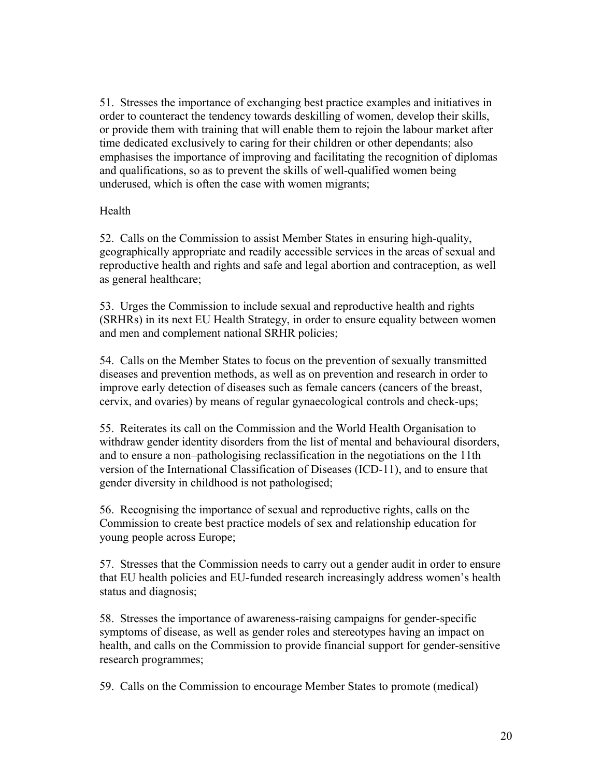51. Stresses the importance of exchanging best practice examples and initiatives in order to counteract the tendency towards deskilling of women, develop their skills, or provide them with training that will enable them to rejoin the labour market after time dedicated exclusively to caring for their children or other dependants; also emphasises the importance of improving and facilitating the recognition of diplomas and qualifications, so as to prevent the skills of well-qualified women being underused, which is often the case with women migrants;

# Health

52. Calls on the Commission to assist Member States in ensuring high-quality, geographically appropriate and readily accessible services in the areas of sexual and reproductive health and rights and safe and legal abortion and contraception, as well as general healthcare;

53. Urges the Commission to include sexual and reproductive health and rights (SRHRs) in its next EU Health Strategy, in order to ensure equality between women and men and complement national SRHR policies;

54. Calls on the Member States to focus on the prevention of sexually transmitted diseases and prevention methods, as well as on prevention and research in order to improve early detection of diseases such as female cancers (cancers of the breast, cervix, and ovaries) by means of regular gynaecological controls and check-ups;

55. Reiterates its call on the Commission and the World Health Organisation to withdraw gender identity disorders from the list of mental and behavioural disorders, and to ensure a non–pathologising reclassification in the negotiations on the 11th version of the International Classification of Diseases (ICD-11), and to ensure that gender diversity in childhood is not pathologised;

56. Recognising the importance of sexual and reproductive rights, calls on the Commission to create best practice models of sex and relationship education for young people across Europe;

57. Stresses that the Commission needs to carry out a gender audit in order to ensure that EU health policies and EU-funded research increasingly address women's health status and diagnosis;

58. Stresses the importance of awareness-raising campaigns for gender-specific symptoms of disease, as well as gender roles and stereotypes having an impact on health, and calls on the Commission to provide financial support for gender-sensitive research programmes;

59. Calls on the Commission to encourage Member States to promote (medical)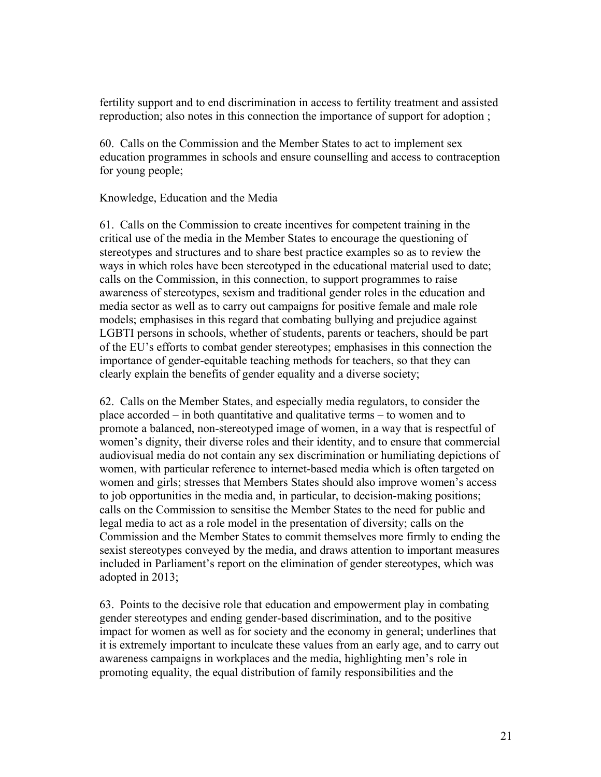fertility support and to end discrimination in access to fertility treatment and assisted reproduction; also notes in this connection the importance of support for adoption ;

60. Calls on the Commission and the Member States to act to implement sex education programmes in schools and ensure counselling and access to contraception for young people;

### Knowledge, Education and the Media

61. Calls on the Commission to create incentives for competent training in the critical use of the media in the Member States to encourage the questioning of stereotypes and structures and to share best practice examples so as to review the ways in which roles have been stereotyped in the educational material used to date; calls on the Commission, in this connection, to support programmes to raise awareness of stereotypes, sexism and traditional gender roles in the education and media sector as well as to carry out campaigns for positive female and male role models; emphasises in this regard that combating bullying and prejudice against LGBTI persons in schools, whether of students, parents or teachers, should be part of the EU's efforts to combat gender stereotypes; emphasises in this connection the importance of gender-equitable teaching methods for teachers, so that they can clearly explain the benefits of gender equality and a diverse society;

62. Calls on the Member States, and especially media regulators, to consider the place accorded – in both quantitative and qualitative terms – to women and to promote a balanced, non-stereotyped image of women, in a way that is respectful of women's dignity, their diverse roles and their identity, and to ensure that commercial audiovisual media do not contain any sex discrimination or humiliating depictions of women, with particular reference to internet-based media which is often targeted on women and girls; stresses that Members States should also improve women's access to job opportunities in the media and, in particular, to decision-making positions; calls on the Commission to sensitise the Member States to the need for public and legal media to act as a role model in the presentation of diversity; calls on the Commission and the Member States to commit themselves more firmly to ending the sexist stereotypes conveyed by the media, and draws attention to important measures included in Parliament's report on the elimination of gender stereotypes, which was adopted in 2013;

63. Points to the decisive role that education and empowerment play in combating gender stereotypes and ending gender-based discrimination, and to the positive impact for women as well as for society and the economy in general; underlines that it is extremely important to inculcate these values from an early age, and to carry out awareness campaigns in workplaces and the media, highlighting men's role in promoting equality, the equal distribution of family responsibilities and the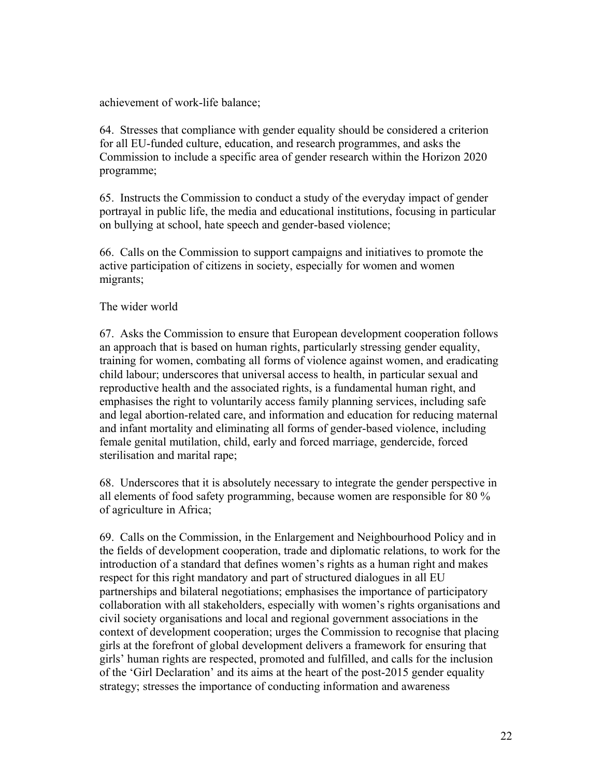achievement of work-life balance;

64. Stresses that compliance with gender equality should be considered a criterion for all EU-funded culture, education, and research programmes, and asks the Commission to include a specific area of gender research within the Horizon 2020 programme;

65. Instructs the Commission to conduct a study of the everyday impact of gender portrayal in public life, the media and educational institutions, focusing in particular on bullying at school, hate speech and gender-based violence;

66. Calls on the Commission to support campaigns and initiatives to promote the active participation of citizens in society, especially for women and women migrants;

# The wider world

67. Asks the Commission to ensure that European development cooperation follows an approach that is based on human rights, particularly stressing gender equality, training for women, combating all forms of violence against women, and eradicating child labour; underscores that universal access to health, in particular sexual and reproductive health and the associated rights, is a fundamental human right, and emphasises the right to voluntarily access family planning services, including safe and legal abortion-related care, and information and education for reducing maternal and infant mortality and eliminating all forms of gender-based violence, including female genital mutilation, child, early and forced marriage, gendercide, forced sterilisation and marital rape;

68. Underscores that it is absolutely necessary to integrate the gender perspective in all elements of food safety programming, because women are responsible for 80 % of agriculture in Africa;

69. Calls on the Commission, in the Enlargement and Neighbourhood Policy and in the fields of development cooperation, trade and diplomatic relations, to work for the introduction of a standard that defines women's rights as a human right and makes respect for this right mandatory and part of structured dialogues in all EU partnerships and bilateral negotiations; emphasises the importance of participatory collaboration with all stakeholders, especially with women's rights organisations and civil society organisations and local and regional government associations in the context of development cooperation; urges the Commission to recognise that placing girls at the forefront of global development delivers a framework for ensuring that girls' human rights are respected, promoted and fulfilled, and calls for the inclusion of the 'Girl Declaration' and its aims at the heart of the post-2015 gender equality strategy; stresses the importance of conducting information and awareness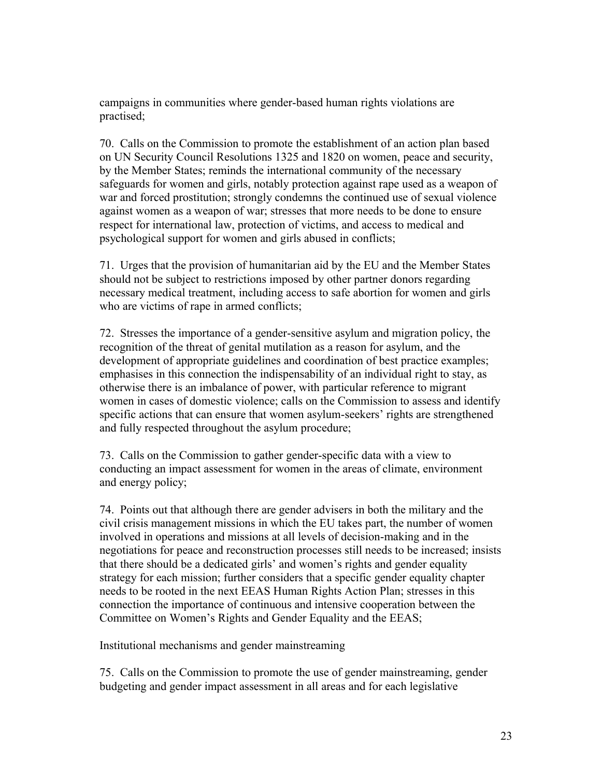campaigns in communities where gender-based human rights violations are practised;

70. Calls on the Commission to promote the establishment of an action plan based on UN Security Council Resolutions 1325 and 1820 on women, peace and security, by the Member States; reminds the international community of the necessary safeguards for women and girls, notably protection against rape used as a weapon of war and forced prostitution; strongly condemns the continued use of sexual violence against women as a weapon of war; stresses that more needs to be done to ensure respect for international law, protection of victims, and access to medical and psychological support for women and girls abused in conflicts;

71. Urges that the provision of humanitarian aid by the EU and the Member States should not be subject to restrictions imposed by other partner donors regarding necessary medical treatment, including access to safe abortion for women and girls who are victims of rape in armed conflicts;

72. Stresses the importance of a gender-sensitive asylum and migration policy, the recognition of the threat of genital mutilation as a reason for asylum, and the development of appropriate guidelines and coordination of best practice examples; emphasises in this connection the indispensability of an individual right to stay, as otherwise there is an imbalance of power, with particular reference to migrant women in cases of domestic violence; calls on the Commission to assess and identify specific actions that can ensure that women asylum-seekers' rights are strengthened and fully respected throughout the asylum procedure;

73. Calls on the Commission to gather gender-specific data with a view to conducting an impact assessment for women in the areas of climate, environment and energy policy;

74. Points out that although there are gender advisers in both the military and the civil crisis management missions in which the EU takes part, the number of women involved in operations and missions at all levels of decision-making and in the negotiations for peace and reconstruction processes still needs to be increased; insists that there should be a dedicated girls' and women's rights and gender equality strategy for each mission; further considers that a specific gender equality chapter needs to be rooted in the next EEAS Human Rights Action Plan; stresses in this connection the importance of continuous and intensive cooperation between the Committee on Women's Rights and Gender Equality and the EEAS;

Institutional mechanisms and gender mainstreaming

75. Calls on the Commission to promote the use of gender mainstreaming, gender budgeting and gender impact assessment in all areas and for each legislative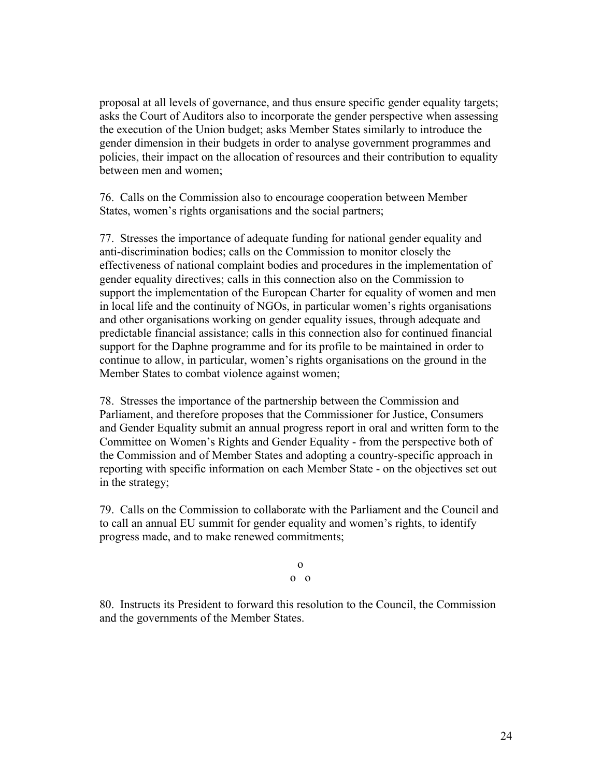proposal at all levels of governance, and thus ensure specific gender equality targets; asks the Court of Auditors also to incorporate the gender perspective when assessing the execution of the Union budget; asks Member States similarly to introduce the gender dimension in their budgets in order to analyse government programmes and policies, their impact on the allocation of resources and their contribution to equality between men and women;

76. Calls on the Commission also to encourage cooperation between Member States, women's rights organisations and the social partners;

77. Stresses the importance of adequate funding for national gender equality and anti-discrimination bodies; calls on the Commission to monitor closely the effectiveness of national complaint bodies and procedures in the implementation of gender equality directives; calls in this connection also on the Commission to support the implementation of the European Charter for equality of women and men in local life and the continuity of NGOs, in particular women's rights organisations and other organisations working on gender equality issues, through adequate and predictable financial assistance; calls in this connection also for continued financial support for the Daphne programme and for its profile to be maintained in order to continue to allow, in particular, women's rights organisations on the ground in the Member States to combat violence against women;

78. Stresses the importance of the partnership between the Commission and Parliament, and therefore proposes that the Commissioner for Justice, Consumers and Gender Equality submit an annual progress report in oral and written form to the Committee on Women's Rights and Gender Equality - from the perspective both of the Commission and of Member States and adopting a country-specific approach in reporting with specific information on each Member State - on the objectives set out in the strategy;

79. Calls on the Commission to collaborate with the Parliament and the Council and to call an annual EU summit for gender equality and women's rights, to identify progress made, and to make renewed commitments;

> o o o

80. Instructs its President to forward this resolution to the Council, the Commission and the governments of the Member States.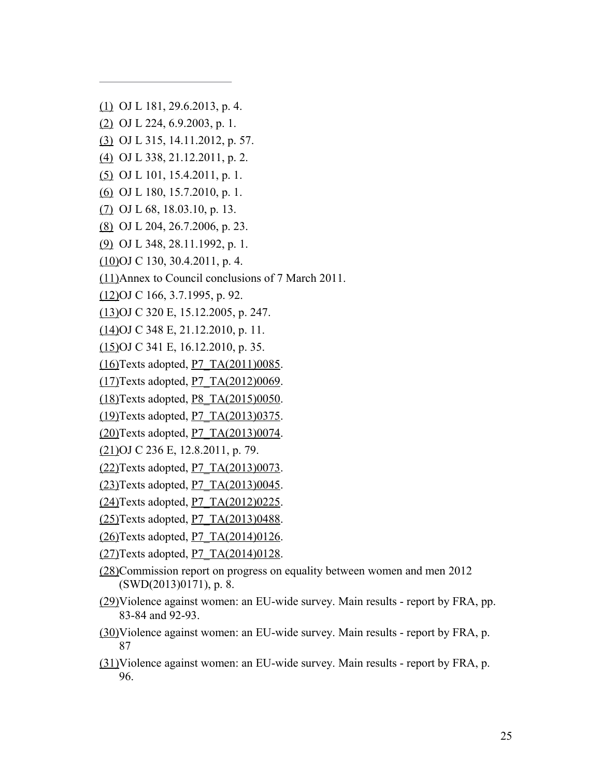[\(1\)](http://www.europarl.europa.eu/sides/getDoc.do?pubRef=-//EP//TEXT+TA+P8-TA-2015-0218+0+DOC+XML+V0//EN#ref_1_1) OJ L 181, 29.6.2013, p. 4.

- [\(2\)](http://www.europarl.europa.eu/sides/getDoc.do?pubRef=-//EP//TEXT+TA+P8-TA-2015-0218+0+DOC+XML+V0//EN#ref_1_2) OJ L 224, 6.9.2003, p. 1.
- [\(3\)](http://www.europarl.europa.eu/sides/getDoc.do?pubRef=-//EP//TEXT+TA+P8-TA-2015-0218+0+DOC+XML+V0//EN#ref_1_3) OJ L 315, 14.11.2012, p. 57.
- [\(4\)](http://www.europarl.europa.eu/sides/getDoc.do?pubRef=-//EP//TEXT+TA+P8-TA-2015-0218+0+DOC+XML+V0//EN#ref_1_4) OJ L 338, 21.12.2011, p. 2.
- [\(5\)](http://www.europarl.europa.eu/sides/getDoc.do?pubRef=-//EP//TEXT+TA+P8-TA-2015-0218+0+DOC+XML+V0//EN#ref_1_5) OJ L 101, 15.4.2011, p. 1.
- [\(6\)](http://www.europarl.europa.eu/sides/getDoc.do?pubRef=-//EP//TEXT+TA+P8-TA-2015-0218+0+DOC+XML+V0//EN#ref_1_6) OJ L 180, 15.7.2010, p. 1.
- [\(7\)](http://www.europarl.europa.eu/sides/getDoc.do?pubRef=-//EP//TEXT+TA+P8-TA-2015-0218+0+DOC+XML+V0//EN#ref_1_7) OJ L 68, 18.03.10, p. 13.
- [\(8\)](http://www.europarl.europa.eu/sides/getDoc.do?pubRef=-//EP//TEXT+TA+P8-TA-2015-0218+0+DOC+XML+V0//EN#ref_1_8) OJ L 204, 26.7.2006, p. 23.
- [\(9\)](http://www.europarl.europa.eu/sides/getDoc.do?pubRef=-//EP//TEXT+TA+P8-TA-2015-0218+0+DOC+XML+V0//EN#ref_1_9) OJ L 348, 28.11.1992, p. 1.
- [\(10\)O](http://www.europarl.europa.eu/sides/getDoc.do?pubRef=-//EP//TEXT+TA+P8-TA-2015-0218+0+DOC+XML+V0//EN#ref_1_10)J C 130, 30.4.2011, p. 4.
- [\(11\)A](http://www.europarl.europa.eu/sides/getDoc.do?pubRef=-//EP//TEXT+TA+P8-TA-2015-0218+0+DOC+XML+V0//EN#ref_1_11)nnex to Council conclusions of 7 March 2011.

[\(12\)O](http://www.europarl.europa.eu/sides/getDoc.do?pubRef=-//EP//TEXT+TA+P8-TA-2015-0218+0+DOC+XML+V0//EN#ref_1_12)J C 166, 3.7.1995, p. 92.

[\(13\)O](http://www.europarl.europa.eu/sides/getDoc.do?pubRef=-//EP//TEXT+TA+P8-TA-2015-0218+0+DOC+XML+V0//EN#ref_1_13)J C 320 E, 15.12.2005, p. 247.

[\(14\)O](http://www.europarl.europa.eu/sides/getDoc.do?pubRef=-//EP//TEXT+TA+P8-TA-2015-0218+0+DOC+XML+V0//EN#ref_1_14)J C 348 E, 21.12.2010, p. 11.

- [\(15\)O](http://www.europarl.europa.eu/sides/getDoc.do?pubRef=-//EP//TEXT+TA+P8-TA-2015-0218+0+DOC+XML+V0//EN#ref_1_15)J C 341 E, 16.12.2010, p. 35.
- [\(16\)T](http://www.europarl.europa.eu/sides/getDoc.do?pubRef=-//EP//TEXT+TA+P8-TA-2015-0218+0+DOC+XML+V0//EN#ref_1_16)exts adopted, [P7\\_TA\(2011\)0085.](http://www.europarl.europa.eu/sides/getDoc.do?type=TA&reference=P7-TA-2011-0085&language=EN)
- $(17)$ Texts adopted, P7\_TA $(2012)0069$ .
- [\(18\)T](http://www.europarl.europa.eu/sides/getDoc.do?pubRef=-//EP//TEXT+TA+P8-TA-2015-0218+0+DOC+XML+V0//EN#ref_1_18)exts adopted, [P8\\_TA\(2015\)0050.](http://www.europarl.europa.eu/sides/getDoc.do?type=TA&reference=P8-TA-2015-0050&language=EN)
- [\(19\)T](http://www.europarl.europa.eu/sides/getDoc.do?pubRef=-//EP//TEXT+TA+P8-TA-2015-0218+0+DOC+XML+V0//EN#ref_1_19)exts adopted, [P7\\_TA\(2013\)0375.](http://www.europarl.europa.eu/sides/getDoc.do?type=TA&reference=P7-TA-2013-0375&language=EN)
- $(20)$ Texts adopted, P7\_TA $(2013)0074$ .
- [\(21\)O](http://www.europarl.europa.eu/sides/getDoc.do?pubRef=-//EP//TEXT+TA+P8-TA-2015-0218+0+DOC+XML+V0//EN#ref_1_21)J C 236 E, 12.8.2011, p. 79.
- $(22)$ Texts adopted, P7\_TA $(2013)0073$ .
- $(23)$ Texts adopted, P7\_TA $(2013)0045$ .
- $(24)$ Texts adopted, P7\_TA $(2012)0225$ .
- [\(25\)T](http://www.europarl.europa.eu/sides/getDoc.do?pubRef=-//EP//TEXT+TA+P8-TA-2015-0218+0+DOC+XML+V0//EN#ref_1_25)exts adopted, [P7\\_TA\(2013\)0488.](http://www.europarl.europa.eu/sides/getDoc.do?type=TA&reference=P7-TA-2013-0488&language=EN)
- $(26)$ Texts adopted, P7\_TA $(2014)0126$ .
- $(27)$ Texts adopted, P7\_TA $(2014)0128$ .
- [\(28\)C](http://www.europarl.europa.eu/sides/getDoc.do?pubRef=-//EP//TEXT+TA+P8-TA-2015-0218+0+DOC+XML+V0//EN#ref_1_28)ommission report on progress on equality between women and men 2012 (SWD(2013)0171), p. 8.
- [\(29\)V](http://www.europarl.europa.eu/sides/getDoc.do?pubRef=-//EP//TEXT+TA+P8-TA-2015-0218+0+DOC+XML+V0//EN#ref_1_29)iolence against women: an EU-wide survey. Main results report by FRA, pp. 83-84 and 92-93.
- [\(30\)V](http://www.europarl.europa.eu/sides/getDoc.do?pubRef=-//EP//TEXT+TA+P8-TA-2015-0218+0+DOC+XML+V0//EN#ref_1_30)iolence against women: an EU-wide survey. Main results report by FRA, p. 87
- [\(31\)V](http://www.europarl.europa.eu/sides/getDoc.do?pubRef=-//EP//TEXT+TA+P8-TA-2015-0218+0+DOC+XML+V0//EN#ref_1_31)iolence against women: an EU-wide survey. Main results report by FRA, p. 96.